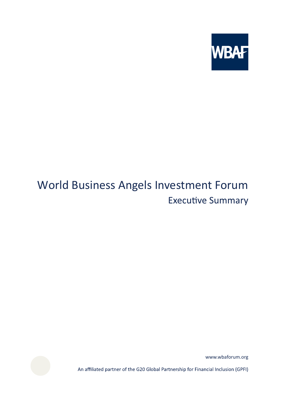

# World Business Angels Investment Forum**Executive Summary**

www.wbaforum.org

An affiliated partner of the G20 Global Partnership for Financial Inclusion (GPFI)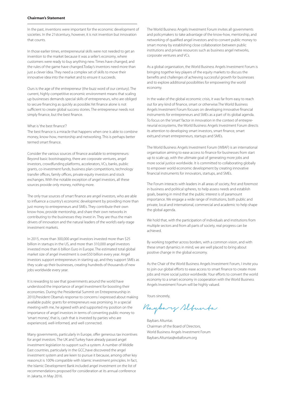# **Chairman's Statement**

In the past, inventions were important for the economic development of societies. In the 21stcentury, however, it is not invention but innovation that counts.

In those earlier times, entrepreneurial skills were not needed to get an invention to the market because it was a seller's economy, where customers were ready to buy anything new. Times have changed, and the rules of the game have changed.Today's inventors need more than just a clever idea. They need a complex set of skills to move their innovative idea into the market and to ensure it succeeds.

Ours is the age of the entrepreneur (the buzz word of our century). The current, highly competitive economic environment means that scaling up businesses demands special skills of entrepreneurs, who are obliged to secure financing as quickly as possible.Yet finance alone is not sufficient to create global success stories. The entrepreneur needs not simply finance, but the best finance.

#### What is 'the best finance'?

The best finance is a miracle that happens when one is able to combine money, know-how, mentorship and networking. This is perhaps better termed smart finance.

Consider the various sources of finance available to entrepreneurs: Beyond basic bootstrapping, there are corporate ventures, angel investors, crowdfunding platforms, accelerators, VCs, banks, public grants, co-investment funds, business plan competitions, technology transfer offices, family offices, private equity investors and stock exchanges. With the notable exception of angel investors, all these sources provide only money, nothing more.

The only true sources of smart finance are angel investors, who are able to influence a country's economic development by providing more than just money to entrepreneurs and SMEs. They contribute their own know-how, provide mentorship, and share their own networks in contributing to the businesses they invest in. They are thus the main drivers of innovation and the natural leaders of the world's early-stage investment markets.

In 2015, more than 300,000 angel investors invested more than \$25 billion in startups in the US, and more than 310,000 angel investors invested more than 6 billion Euro in Europe. The estimated total global market size of angel investment is over\$50 billion every year. Angel investors support entrepreneurs in starting up, and they support SMEs as they scale up their businesses, creating hundreds of thousands of new jobs worldwide every year.

It is rewarding to see that governments around the world have understood the importance of angel investment for boosting their economies. During the Presidential Summit on Entrepreneurship in 2010,President Obama's response to concerns I expressed about making available public grants for entrepreneurs was promising. In a special meeting with me, he agreed with and supported my position on the importance of angel investors in terms of converting public money to 'smart money', that is, cash that is invested by parties who are experienced, well-informed, and well connected.

Many governments, particularly in Europe, offer generous tax incentives for angel investors. The UK and Turkey have already passed angel investment legislation to support such a system. A number of Middle East countries, particularly in the GCC,have discovered the angel investment system and are keen to pursue it because, among other key reasons,it is 100% compatible with Islamic investment principles. In fact, the Islamic Development Bank included angel investment on the list of recommendations proposed for consideration at its annual conference in Jakarta, in May 2016.

The World Business Angels Investment Forum invites all governments and policymakers to take advantage of the know-how, mentorship, and networking of qualified angel investors and to convert public money to smart money by establishing close collaboration between public institutions and private resources such as business angel networks, corporate ventures and VCs.

As a global organisation, the World Business Angels Investment Forum is bringing together key players of the equity markets to discuss the benefits and challenges of achieving successful growth for businesses and to explore additional possibilities for empowering the world economy.

In the wake of the global economic crisis, it was far from easy to reach out for any kind of finance, smart or otherwise.The World Business Angels Investment Forum focuses on developing innovative financial instruments for entrepreneurs and SMEs as a part of its global agenda. To focus on the 'smart' factor in innovation in the context of entrepreneurial ecosystems, the World Business Angels Investment Forum directs its attention to developing smart investors, smart finance, smart exits,and smart entrepreneurs, startups and SMEs.

The World Business Angels Investment Forum (WBAF) is an international organisation aiming to ease access to finance for businesses from start up to scale up, with the ultimate goal of generating more jobs and more social justice worldwide. It is committed to collaborating globally to empower world economic development by creating innovative financial instruments for innovators, startups, and SMEs.

The Forum interacts with leaders in all areas of society, first and foremost in business and political spheres, to help assess needs and establish goals, bearing in mind that the public interest is of paramount importance. We engage a wide range of institutions, both public and private, local and international, commercial and academic to help shape the global agenda.

We hold that, with the participation of individuals and institutions from multiple sectors and from all parts of society, real progress can be achieved.

By working together across borders, with a common vision, and with these smart dynamics in mind, we are well placed to bring about positive change in the global economy.

As the Chair of the World Business Angels Investment Forum, I invite you to join our global efforts to ease access to smart finance to create more jobs and more social justice worldwide. Your efforts to convert the world economy to a smart economy in cooperation with the World Business Angels Investment Forum will be highly valued.

Yours sincerely,

Buybary Alfunta

Baybars Altuntas Chairman of the Board of Directors, World Business Angels Investment Forum Baybars.Altuntas@wbaforum.org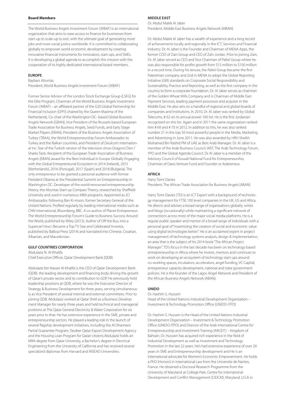# **Board Members**

The World Business Angels Investment Forum (WBAF) is an international organisation that aims to ease access to finance for businesses from start-up to scale-up to exit, with the ultimate goal of generating more jobs and more social justice worldwide. It is committed to collaborating globally to empower world economic development by creating innovative financial instruments for innovators, start-ups, and SMEs. It is developing a global agenda to accomplish this mission with the cooperation of its highly dedicated international board members.

#### **EUROPE**

Baybars Altuntas

President, World Business Angels Investment Forum (WBAF)

Former Senior Advisor of the London Stock Exchange Group (LSEG) for the Elite Program, Chairman of the World Business Angels Investment Forum (WBAF) – an affiliated partner of the G20 Global Partnership for Financial Inclusion (GPFI) chaired by the Queen Maxima of the Netherlands, Co-chair of the Washington DC- based Global Business Angels Network (GBAN), Vice President of the Brussels-based European Trade Association for Business Angels, Seed Funds, and Early Stage Market Players (EBAN), President of the Business Angels Association of Turkey (TBAA), the World Entrepreneurship Forum Ambassador to Turkey and the Balkan countries, and President of Deulcom International Inc. Star of the Turkish version of the television show Dragons' Den / Sharks Tank. Recipient of the European Trade Association of Business Angels (EBAN) award for the Best Individual in Europe Globally Engaging with the Global Entrepreneurial Ecosystem in 2014 (Ireland), 2015 (Netherlands), 2016 (Portugal), 2017 (Spain) and 2018 (Bulgaria). The only entrepreneur to be granted a personal audience with former President Obama at the Presidential Summit on Entrepreneurship in Washington DC. Developer of the world-renowned entrepreneurship theory, the Altuntas Start-up Compass Theory, researched by Sheffield University and used in numerous MBA programs. Appointed as JCI Ambassador, following Ban Ki-moon, former Secretary General of the United Nations. Profiled regularly by leading international media such as CNN International, Bloomberg, BBC. A co-author of Planet Entrepreneur: The World Entrepreneurship Forum's Guide to Business Success Around the World, published by Wiley (2013). Author of Off the Bus, Into a Supercar! How I Became a Top TV Star and Celebrated Investor, published by Balboa Press (2014) and translated into Chinese, Croatian, Albanian, and Macedonian.

# **GULF COUNTRIES CORPORATION**

Abdulaziz N. Al-Khalifa Chief Executive Officer, Qatar Development Bank (QDB)

Abdulaziz bin Nasser Al-Khalifa is the CEO of Qatar Development Bank (QDB), the leading development and financing body driving the growth of Qatar's private sector and its contribution to GDP. He previously held leadership positions at QDB, where he was the Executive Director of Strategy & Business Development for three years, serving simultaneously as Vice President of several internal and external committees. Prior to joining QDB, Abdulaziz worked at Qatar Shell as a Business Development Manager for nearly three years and held technical and managerial positions at The Qatar General Electricity & Water Corporation for six years prior to that. He has extensive experience in the SME, private and entrepreneurship sectors. He played a leading role in the launch of several flagship development initiatives, including the Al Dhameen Partial Guarantee Program, Tasdeer Qatar Export Development Agency and the Housing Loan Program for Qatari citizens.Abdulaziz holds an MBA degree from Qatar University, a Bachelor's degree in Electrical Engineering from the University of California and has received several specialized diplomas from Harvard and INSEAD Universities.

# **MIDDLE EAST**

Dr. Abdul Malek Al Jaber President, Middle East Business Angels Network (MBAN)

Dr. Abdul Malek Al Jaber has a wealth of experience and a long record of achievements locally and regionally in the ICT, Services and Financial industry. Dr. Al Jaber is the Founder and Chairman of MENA Apps, the former COO of Zain Group and CEO of Zain Jordan. Prior to joining Zain, Dr. Al Jaber served as CEO and Vice Chairman of Paltel Group where he was also responsible for profits growth from \$15 million to \$100 million in a record time. During his tenure, the Paltel Group became the first Palestinian company and 2nd in MENA to adopt the Global Reporting Initiative (GRI) standards on Corporate Social Responsibility and Sustainability Practice and Reporting, as well as the first company in the country to form a corporate foundation. Dr. Al Jaber serves as chairman of the Golden Wheat Mills Company and is Chairman of Middle East Payment Services, leading payment processor and acquirer in the Middle East. He also sets on a handful of regional and global boards of companies and institutions. In 2010, Dr. Al Jaber was ranked by Global Telecoms, # 62 on its annual power 100 list. He is the first Jordanian recognized on this list. Again and in 2011 the same organization ranked him # 69 and # 70 in 2012. In addition to this, he was also ranked number 21 in the top 50 most powerful people in the Media, Marketing and Advertising in June 2011. He was also awarded by HRH Sheikh Mohamed Bin Rashid PM of UAE as Best Arab Manager. Dr. Al Jaber is a member of the Arab Business Council, WEF, The Arab Technology Forum, YPO and the Global Agenda Council. Dr Al-Jaber is a member of the Advisory Council of Kuwait National Fund for Entrepreneurshio, Chairman of Oasis Venture Fund and Founder or Arabreneur.

# **AFRICA**

Harry Tomi Davies

President, The African Trade Association for Business Angels (ABAN)

Harry Tomi Davies (TD) is an ICT Expert with a background of technology management for FTSE 100 level companies in the UK, US and Africa. He directs and advises a broad range of organisations globally, writes and blogs (occasionally) while maintaining a significant network of connections across most of the major social media platforms. He is a regular public speaker and mentor of a broad range of individuals with a personal goal of "maximizing the creation of social and economic value using digital technologies better". He is an acclaimed expert in project management of technology systems analysis, design & implementation, an area that is the subject of his 2014 book "The African Project Manager". TD's focus in the last decade has been on technology based entrepreneurship in Africa where he invests, mentors and continues to work on developing an ecosystem of technology start-ups around co-working spaces, incubators, accelerators, angel funding, VC Capital, entrepreneur capacity development, national and state government policies. He is the founder of the Lagos Angel Network and President of the African Business Angels Network (ABAN).

#### **UNIDO**

#### Dr. Hashim S. Hussein

Head of the United Nations Industrial Development Organization – Investment & Technology Promotion Office (UNIDO-ITPO)

Dr. Hashim S. Hussein is the Head of the United Nations Industrial Development Organization – Investment & Technology Promotion Office (UNIDO-ITPO) and Director of the Arab International Centre for Entrepreneurship and Investment Training (ARCEIT) – Kingdom of Bahrain. Dr. Hussein has acquired rich experience in the field of Industrial Development as well as Investment and Technology Promotion in the last 22 years. He's had extensive experience of over 20 years in SME and Entrepreneurship development and He is an international advocate for Women's Economic Empowerment. He holds a PhD (Honors) in International Law from the Universite de Nantes, France. He obtained a Doctoral Research Programme from the University of Maryland at College Park, Centre for International Development and Conflict Management (CIDCM), Maryland, U.S.A in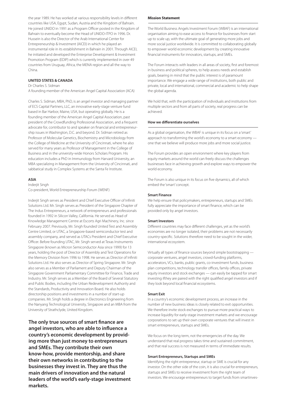the year 1989. He has worked at various responsibility levels in different countries like USA, Egypt, Sudan, Austria and the Kingdom of Bahrain. He joined UNIDO in 1991 as a Program Officer posted in the Kingdom of Bahrain to eventually become the Head of UNIDO-ITPO in 1996. Dr. Hussein is also the Director of the Arab International Center for Entrepreneurship & Investment (AICEI) in which he played an instrumental role in its establishment in Bahrain in 2001. Through AICEI, he initiated and developed the Enterprise Development & Investment Promotion Program (EDIP) which is currently implemented in over 49 countries from Uruguay, Africa, the MENA region and all the way to China.

# **UNITED STATES & CANADA**

# Dr Charles S. Sidman

A founding member of the American Angel Capital Association (ACA)

Charles S. Sidman, MBA, PhD, is an angel investor and managing partner of ECS Capital Partners, LLC, an innovative early-stage venture fund based in Bar Harbor, Maine, USA, but operating globally. He is a founding member of the American Angel Capital Association, past president of the Crowdfunding Professional Association, and a frequent advocate for, contributor to and speaker on financial and entrepreneurship issues in Washington, D.C. and beyond. Dr. Sidman retired as Professor of Molecular Genetics, Biochemistry and Microbiology from the College of Medicine at the University of Cincinnati, where he also served for many years as Professor of Management in the College of Business and in the university-wide Honors Scholars Program. His education includes a PhD in Immunology from Harvard University, an MBA specializing in Management from the University of Cincinnati, and sabbatical study in Complex Systems at the Santa Fe Institute.

#### **ASIA**

Inderjit Singh

Co-president, World Entrepreneurship Forum (WENF)

Inderjit Singh serves as President and Chief Executive Officer of Infiniti Solutions Ltd. Mr. Singh serves as President of the Singapore Chapter of The Indus Entrepreneurs, a network of entrepreneurs and professionals founded in 1992 in Silicon Valley, California. He served as Head of Knowledge Management Centre at Escorts Agri Machinery, Inc. since February 2007. Previously, Mr. Singh founded United Test and Assembly Centre Limited, or UTAC, a Singapore-based semiconductor test and assembly company, and served as UTACs President and Chief Executive Officer. Before founding UTAC, Mr. Singh served at Texas Instruments Singapore (known as Micron Semiconductor Asia since 1999) for 13 years, holding the post of Director of Assembly and Test Operations for the Memory Division from 1996 to 1998. He serves as Director of Infiniti Solutions Ltd. He also serves as Director of Spring Singapore. Mr. Singh also serves as a Member of Parliament and Deputy Chairman of the Singapore Government Parliamentary Committee for Finance, Trade and Industry. Mr. Singh serves as a Member of the Board of Several Statutory and Public Bodies, including the Urban Redevelopment Authority and the Standards, Productivity and Innovation Board. He also holds directorship positions and investments in a number of start-up companies. Mr. Singh holds a degree in Electronics Engineering from the Nanyang Technological University, Singapore and an MBA from the University of Strathclyde, United Kingdom.

**The only true sources of smart finance are angel investors, who are able to influence a country's economic development by providing more than just money to entrepreneurs and SMEs. They contribute their own know-how, provide mentorship, and share their own networks in contributing to the businesses they invest in. They are thus the main drivers of innovation and the natural leaders of the world's early-stage investment markets.**

# **Mission Statement**

The World Business Angels Investment Forum (WBAF) is an international organisation aiming to ease access to finance for businesses from start up to scale up, with the ultimate goal of generating more jobs and more social justice worldwide. It is committed to collaborating globally to empower world economic development by creating innovative financial instruments for innovators, startups, and SMEs.

The Forum interacts with leaders in all areas of society, first and foremost in business and political spheres, to help assess needs and establish goals, bearing in mind that the public interest is of paramount importance. We engage a wide range of institutions, both public and private, local and international, commercial and academic to help shape the global agenda.

We hold that, with the participation of individuals and institutions from multiple sectors and from all parts of society, real progress can be achieved.

# **How we differentiate ourselves**

As a global organisation, the WBAF is unique in its focus on a 'smart' approach to transforming the world's economy to a smart economy one that we believe will produce more jobs and more social justice.

The Forum provides an open environment where key players from equity markets around the world can freely discuss the challenges businesses face in achieving growth and explore ways to empower the world economy.

The Forum is also unique in its focus on five dynamics, all of which embed the 'smart' concept.

#### **Smart Finance**

We help ensure that policymakers, entrepreneurs, startups and SMEs fully appreciate the importance of smart finance, which can be provided only by angel investors.

#### **Smart Investors**

Different countries may face different challenges, yet as the world's economies are no longer isolated, their problems are not necessarily country-specific. Solutions therefore need to be sought in the wider, international ecosystem.

Virtually all types of finance sources beyond simple bootstrapping corporate ventures, angel investors, crowd-funding platforms, accelerators, VCs, banks, public grants, co-investment funds, business plan competitions, technology transfer offices, family offices, private equity investors and stock exchanges — can easily be tapped for smart investing ifthey are paired with the right qualified angel investors and if they look beyond local financial ecosystems.

# **Smart Exit**

In a country's economic development process, an increase in the number of new business ideas is closely related to exit opportunities. We therefore invite stock exchanges to pursue more practical ways to increase liquidity for early-stage investment markets and we encourage corporations to set up their own corporate ventures that will invest in smart entrepreneurs, startups and SMEs.

We focus on the long term, not the emergencies of the day. We understand that real progress takes time and sustained commitment, and that real success is not measured in terms of immediate results.

#### **Smart Entrepreneurs, Startups and SMEs**

Identifying the right entrepreneur, startup or SME is crucial for any investor. On the other side of the coin, it is also crucial for entrepreneurs, startups and SMEs to receive investment from the right team of investors. We encourage entrepreneurs to target funds from smartinves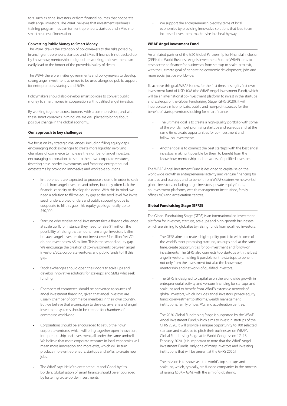tors, such as angel investors, or from financial sources that cooperate with angel investors. The WBAF believes that investment readiness training programmes can turn entrepreneurs, startups and SMEs into smart sources of innovation.

#### **Converting Public Money to Smart Money**

The WBAF draws the attention of policymakers to the risks posed by financing entrepreneurs, startups and SMEs. If finance is not backed up by know-how, mentorship and good networking, an investment can easily lead to the border of the proverbial valley of death.

The WBAF therefore invites governments and policymakers to develop strong angel investment schemes to be used alongside public support for entrepreneurs, startups and SMEs.

Policymakers should also develop smart policies to convert public money to smart money in cooperation with qualified angel investors.

By working together across borders, with a common vision, and with these smart dynamics in mind, we are well placed to bring about positive change in the global economy.

# **Our approach to key challenges**

We focus on key strategic challenges, including filling equity gaps, encouraging stock exchanges to create more liquidity, involving chambers of commerce to increase the number of angel investors, encouraging corporations to set up their own corporate ventures, fostering cross-border investments, and fostering entrepreneurial ecosystems by providing innovative and workable solutions.

- Entrepreneurs are expected to produce a demo in order to seek funds from angel investors and others, but they often lack the financial capacity to develop the demo. With this in mind, we need a solution to fill the equity gap at the seed level. We invite seed funders, crowdfunders and public support groups to cooperate to fill this gap. This equity gap is generally up to \$50,000.
- Startups who receive angel investment face a finance challenge at scale up. If, for instance, they need to raise \$1 million, the possibility of raising that amount from angel investors is slim because angel investors do not invest over \$1 million. Yet VCs do not invest below \$5 million. This is the second equity gap. We encourage the creation of co-investments between angel investors, VCs, corporate ventures and public funds to fill this gap.
- Stock exchanges should open their doors to scale ups and develop innovative solutions for scaleups and SMEs who seek funding.
- Chambers of commerce should be converted to sources of angel investment financing, given that angel investors are usually chamber of commerce members in their own country. But we believe that a campaign to develop awareness of angel investment systems should be created for chambers of commerce worldwide.
- Corporations should be encouraged to set up their own corporate ventures, which will bring together open innovation, intrapreneurship and investment, all under the same umbrella. We believe that more corporate ventures in local economies will mean more innovation and more exits, which will in turn produce more entrepreneurs, startups and SMEs to create new jobs.
- The WBAF says 'Hello' to entrepreneurs and 'Good-bye' to borders. Globalisation of smart finance should be encouraged by fostering cross-border investments.

• We support the entrepreneurship ecosystems of local economies by providing innovative solutions that lead to an increased investment market size in a healthy way.

#### **WBAF Angel Investment Fund**

An affiliated partner of the G20 Global Partnership for Financial Inclusion (GPFI), the World Business Angels Investment Forum (WBAF) aims to ease access to finance for businesses from startup to scaleup to exit, with the ultimate goal of generating economic development, jobs and more social justice worldwide.

To achieve this goal, WBAF is now, for the first time, raising its first own investment fund of USD 10M (the WBAF Angel Investment Fund), which will be an international co-investment platform to invest in the startups and scaleups of the Global Fundraising Stage (GFRS 2020); it will incorporate a mix of private, public and non-profit sources for the benefit of startup ventures looking for smart finance.

- The ultimate goal is to create a high-quality portfolio with some of the world's most promising startups and scaleups and, at the same time, create opportunities for co-investment and follow-on investments.
- Another goal is to connect the best startups with the best angel investors, making it possible for them to benefit from the know-how, mentorship and networks of qualified investors.

The WBAF Angel Investment Fund is designed to capitalise on the worldwide growth in entrepreneurial activity and venture financing for startups and scaleups and to benefit from WBAF's extensive network of global investors, including angel investors, private equity funds, co-investment platforms, wealth management institutions, family offices, VCs and acceleration centres.

#### **Global Fundraising Stage (GFRS)**

The Global Fundraising Stage (GFRS) is an international co-investment platform for investors, startups, scaleups and high-growth businesses which are aiming to globalise by raising funds from qualified investors.

- The GFRS aims to create a high-quality portfolio with some of the world's most promising startups, scaleups and, at the same time, create opportunities for co-investment and follow-on investments. The GFRS also connects top startups with the best angel investors, making it possible for the startups to benefit not only from the investment but also the know-how, mentorship and networks of qualified investors.
- The GFRS is designed to capitalise on the worldwide growth in entrepreneurial activity and venture financing for startups and scaleups and to benefit from WBAF's extensive network of global investors, which includes angel investors, private equity funds,co-investment platforms, wealth management institutions, family offices, VCs and acceleration centres.
- The 2020 Global Fundraising Stage is supported by the WBAF Angel Investment Fund, which aims to invest in startups of the GFRS 2020. It will provide a unique opportunity to 100 selected startups and scaleups to pitch their businesses on WBAF's Global Fundraising Stage at its World Congress on 17–18 February 2020. [It is important to note that the WBAF Angel Investment Fundis only one of many investors and investing institutions that will be present at the GFRS 2020.]
- The mission is to showcase the world's top startups and scaleups, which, typically, are funded companies in the process of raising €50K – €3M, with the aim of globalising.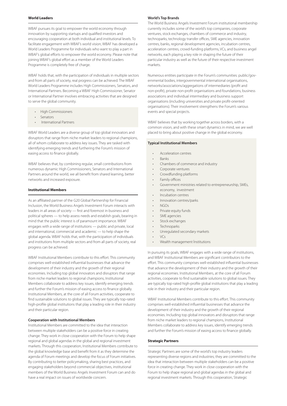# **World Leaders**

WBAF pursues its goal to empower the world economy through innovation by supporting startups and qualified investors and encouraging cooperation at both individual and institutional levels. To facilitate engagement with WBAF's world vision, WBAF has developed a World Leaders Programme for individuals who want to play a part in WBAF's global efforts to empower the world economy. Please note that joining WBAF's global effort as a member of the World Leaders Programme is completely free of charge.

WBAF holds that, with the participation of individuals in multiple sectors and from all parts of society, real progress can be achieved. The WBAF World Leaders Programme includes High Commissioners, Senators, and International Partners. Becoming a WBAF High Commissioner, Senator or International Partner involves embracing activities that are designed to serve the global community.

- High Commissioners
- Senators
- International Partners

WBAF World Leaders are a diverse group of top global innovators and disruptors that range from niche market leaders to regional champions, all of whom collaborate to address key issues. They are tasked with identifying emerging trends and furthering the Forum's mission of easing access to finance globally.

WBAF believes that, by combining regular, small contributions from numerous dynamic High Commissioners, Senators and International Partners around the world, we all benefit from shared learning, better networks and increased exposure.

# **Institutional Members**

As an affiliated partner of the G20 Global Partnership for Financial Inclusion, the World Business Angels Investment Forum interacts with leaders in all areas of society — first and foremost in business and political spheres — to help assess needs and establish goals, bearing in mind that the public interest is of paramount importance. WBAF engages with a wide range of institutions — public and private, local and international, commercial and academic — to help shape the global agenda. WBAF holds that, with the participation of individuals and institutions from multiple sectors and from all parts of society, real progress can be achieved.

WBAF Institutional Members contribute to this effort. This community comprises well-established influential businesses that advance the development of their industry and the growth of their regional economies. Including top global innovators and disruptors that range from niche market leaders to regional champions, Institutional Members collaborate to address key issues, identify emerging trends and further the Forum's mission of easing access to finance globally. Institutional Members, at the core of all Forum activities, cooperate to find sustainable solutions to global issues. They are typically top-rated high-profile global institutions that play a leading role in their industry and their particular region.

#### **Cooperation with Institutional Members**

Institutional Members are committed to the idea that interaction between multiple stakeholders can be a positive force in creating change. They work in close cooperation with the Forum to help shape regional and global agendas in the global and regional investment markets. Through this cooperation, Institutional Members contribute to the global knowledge base and benefit from it as they determine the agenda of Forum meetings and develop the focus of Forum initiatives. By contributing to better policymaking, sharing best practices, and engaging stakeholders beyond commercial objectives, institutional members of the World Business Angels Investment Forum can and do have a real impact on issues of worldwide concern.

# **World's Top Brands**

The World Business Angels Investment Forum institutional membership currently includes some of the world's top companies, corporate ventures, stock exchanges, chambers of commerce and industry, technoparks, technology transfer offices, SME agencies, innovation centres, banks, regional development agencies, incubation centres, acceleration centres, crowd-funding platforms, VCs, and business angel networks, each playing a key role in shaping the future of their particular industry as well as the future of their respective investment markets.

Numerous entities participate in the Forum's communities: public/governmental bodies, intergovernmental international organisations, networks/associations/aggregations of intermediaries (profit and non-profit), private non-profit organisations and foundations, business associations and individual intermediary and business support organisations (including universities and private profit-oriented organisations). Their involvement strengthens the Forum's various events and special projects.

WBAF believes that by working together across borders, with a common vision, and with these smart dynamics in mind, we are well placed to bring about positive change in the global economy.

#### **Typical Institutional Members**

- Acceleration centres
- Banks
- Chambers of commerce and industry
- Corporate ventures
- Crowdfunding platforms
- Family offices
- Government ministries related to entrepreneurship, SMEs, economy, investment
- Incubation centres
- Innovation centres/parks
- NGOs
- Private equity funds
- SME agencies
- Stock exchanges
- **Technoparks**
- Unregulated secondary markets
- $V\subset S$
- Wealth management İnstitutions

In pursuing its goals, WBAF engages with a wide range of institutions, and WBAF Institutional Members are significant contributors to the effort. This community comprises well-established influential businesses that advance the development of their industry and the growth of their regional economies. Institutional Members, at the core of all Forum activities, cooperate to find sustainable solutions to global issues. They are typically top-rated high-profile global institutions that play a leading role in their industry and their particular region.

WBAF Institutional Members contribute to this effort. This community comprises well-established influential businesses that advance the development of their industry and the growth of their regional economies. Including top global innovators and disruptors that range from niche market leaders to regional champions, Institutional Members collaborate to address key issues, identify emerging trends and further the Forum's mission of easing access to finance globally.

# **Strategic Partners**

Strategic Partners are some of the world's top industry leaders representing diverse regions and industries; they are committed to the idea that interaction between multiple stakeholders can be a positive force in creating change. They work in close cooperation with the Forum to help shape regional and global agendas in the global and regional investment markets. Through this cooperation, Strategic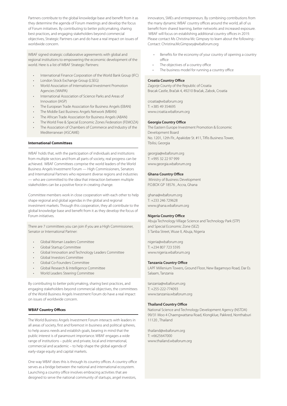Partners contribute to the global knowledge base and benefit from it as they determine the agenda of Forum meetings and develop the focus of Forum initiatives. By contributing to better policymaking, sharing best practices, and engaging stakeholders beyond commercial objectives, Strategic Partners can and do have a real impact on issues of worldwide concern.

WBAF signed strategic collaborative agreements with global and regional institutions to empowering the economic development of the world. Here is a list of WBAF Strategic Partners:

- International Finance Corporation of the World Bank Group (IFC)
- London Stock Exchange Group (LSEG)
- World Association of International Investment Promotion Agencies (WAIPA)
- International Association of Science Parks and Areas of Innovation (IASP)
- The European Trade Association for Business Angels (EBAN)
- The Middle East Business Angels Network (MBAN)
- The African Trade Association for Business Angels (ABAN)
- The World Free & Special Economic Zones Federation (FEMOZA)
- The Association of Chambers of Commerce and Industry of the Mediterranean (ASCAME)

# **International Committees**

WBAF holds that, with the participation of individuals and institutions from multiple sectors and from all parts of society, real progress can be achieved. WBAF Committees comprise the world leaders of the World Business Angels Investment Forum — High Commissioners, Senators and International Partners who represent diverse regions and industries — who are committed to the idea that interaction between multiple stakeholders can be a positive force in creating change.

Committee members work in close cooperation with each other to help shape regional and global agendas in the global and regional investment markets. Through this cooperation, they all contribute to the global knowledge base and benefit from it as they develop the focus of Forum initiatives.

There are 7 committees you can join if you are a High Commissioner, Senator or International Partner:

- Global Woman Leaders Committee
- Global Startup Committee
- Global Innovation and Technology Leaders Committee
- Global Investors Committee
- Global Co-Founders Committee
- Global Research & Intelligence Committee
- World Leaders Steering Committee

By contributing to better policymaking, sharing best practices, and engaging stakeholders beyond commercial objectives, the committees of the World Business Angels Investment Forum do have a real impact on issues of worldwide concern.

#### **WBAF Country Offices**

The World Business Angels Investment Forum interacts with leaders in all areas of society, first and foremost in business and political spheres, to help assess needs and establish goals, bearing in mind that the public interest is of paramount importance. WBAF engages a wide range of institutions – public and private, local and international, commercial and academic – to help shape the global agenda of early-stage equity and capital markets.

One way WBAF does this is through its country offices. A country office serves as a bridge between the national and international ecosystem. Launching a country office involves embracing activities that are designed to serve the national community of startups, angel investors,

innovators, SMEs and entrepreneurs. By combining contributions from the many dynamic WBAF country offices around the world, all of us benefit from shared learning, better networks and increased exposure. WBAF will focus on establishing additional country offices in 2019. Please contact Ms Christina Mc Gimpsey to learn about the following - Contact: Christina.McGimpsey@wbaforum.org

- Benefits for the economy of your country of opening a country office
- The objectives of a country office
- The business model for running a country office

#### **Croatia Country Office**

Zagorje County of the Republic of Croatia Bracak Castle, Bračak 4, 49210 Bračak, Zabok, Croatia

croatia@wbaforum.org T: +385 49 354695 www.croatia.wbaforum.org

#### **Georgia Country Office**

The Eastern Europe Investment Promotion & Economic Development Board No. 1201, 12th Flr., Apakidze St. #11, Tiflis Business Tower, Tbilisi, Georgia

georgia@wbaforum.org T: +995 32 22 97 999 www.georgia.wbaforum.org

# **Ghana Country Office**

 Ministry of Business Development P.O.BOX GP 18576 , Accra, Ghana

ghana@wbaforum.org T: +233 246 729628 www.ghana.wbaforum.org

#### **Nigeria Country Office**

Abuja Technology Village Science and Technology Park (STP) and Special Economic Zone (SEZ) 5 Tanba Street, Wuse II, Abuja, Nigeria

nigeria@wbaforum.org T: +234 807 723 5595 www.nigeria.wbaforum.org

# **Tanzania Country Office**

LAPF Millenium Towers, Ground Floor, New Bagamoyo Road, Dar Es Salaam, Tanzania

tanzania@wbaforum.org  $T: +255-222-774093$ www.tanzania.wbaforum.org

# **Thailand Country Office**

National Science and Technology Development Agency (NSTDA) 99/31 Moo 4 Chaengwattana Road, Klongklue, Pakkred, Nonthaburi 11120 , Thailand

thailand@wbaforum.org T: +6625647000 www.thailand.wbaforum.org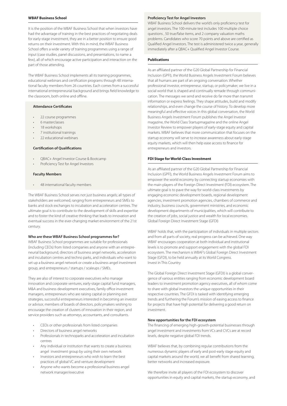# **WBAF Business School**

It is the position of the WBAF Business School that when investors have had the advantage of training in the best practices of negotiating deals for early-stage investment, they are in a better position to ensure good returns on their investment. With this in mind, the WBAF Business School offers a wide variety of training programmes using a range of input (case studies, panel discussions, and presentations, to name a few), all of which encourage active participation and interaction on the part of those attending.

The WBAF Business School implements all its training programmes, educational webinars and certification programs through 48 international faculty members from 26 countries. Each comes from a successful international entrepreneurial background and brings field knowledge to the classroom, both online and offline.

# **Attendance Certificates**

- 22 course programmes
- 6 masterclasses
- 18 workshops
- 7 institutional trainings
- 22 educational webinars

#### **Certification of Qualifications**

- QBAC+ Angel Investor Course & Bootcamp
- Proficiency Test for Angel Investors

#### **Faculty Members**

48 international faculty members

The WBAF Business School serves not just business angels; all types of stakeholders are welcomed, ranging from entrepreneurs and SMEs to banks and stock exchanges to incubation and acceleration centres. The ultimate goal is to contribute to the development of skills and expertise and to foster the kind of creative thinking that leads to innovation and eventual success in the ever-changing market environment of the 21st century.

# **Who are these WBAF Business School programmes for?**

WBAF Business School programmes are suitable for professionals (including CEOs) from listed companies and anyone with an entrepreneurial background, directors of business angel networks, acceleration and incubation centres and techno parks, and individuals who want to set up a business angel network or create a business angel investment group, and entrepreneurs / startups / scaleups / SMEs.

They are also of interest to corporate executives who manage innovation and corporate ventures, early-stage capital fund managers, M&A and business development executives, family office investment managers, entrepreneurs who are raising capital or planning exit strategies, successful entrepreneurs interested in becoming an investor or advisor, members of boards of directors, policymakers wishing to encourage the creation of clusters of innovation in their region, and service providers such as attorneys, accountants, and consultants.

- CEOs or other professionals from listed companies
- Directors of business angel networks
- Professionals in technoparks and acceleration and incubation centres
- Any individual or institution that wants to create a business angel investment group by using their own network
- Investors and entrepreneurs who wish to learn the best practices of global VC and venture development
- Anyone who wants become a professional business angel network manager/executive

# **Proficiency Test for Angel Investors**

WBAF Business School delivers the world's only proficiency test for angel investors. The 100-minute test includes 100 multiple choice questions , 50 true/false items, and 2 company valuation maths problems. Candidates who score 70 points and above are certified as Qualified Angel Investors. The test is administered twice a year, generally immediately after a QBAC+ Qualified Angel Investor Course.

# **Publications**

As an affiliated partner of the G20 Global Partnership for Financial Inclusion (GPFI), the World Business Angels Investment Forum believes that all humans are part of an ongoing conversation. Whether professional investor, entrepreneur, startup, or policymaker, we live in a social world that is shaped and continually remade through communication. The messages we send and receive do far more than transmit information or express feelings. They shape attitudes, build and modify relationships, and even change the course of history. To develop more meaningful and effective voices in this global conversation, the World Business Angels Investment Forum publishes the Angel Investor magazine, the World Class Startupmagazine and the online Angel Investor Review to empower players of early-stage equity and capital markets. WBAF believes that more communication that focuses on the startup economy will serve to increase awareness about early-stage equity markets, which will then help ease access to finance for entrepreneurs and investors.

#### **FDI Stage for World-Class Investment**

As an affiliated partner of the G20 Global Partnership for Financial Inclusion (GPFI), the World Business Angels Investment Forum aims to empower the world economy by connecting startup economies with the main players of the Foreign Direct Investment (FDI) ecosystem. The ultimate goal is to pave the way for world-class investments by engaging economic development boards, regional development agencies, investment promotion agencies, chambers of commerce and industry, business councils, government ministries, and economic development departments of municipalities, which will contribute to the creation of jobs, social justice and wealth for local economies. Global Foreign Direct Investment Stage (GFDI)

WBAF holds that, with the participation of individuals in multiple sectors and from all parts of society, real progress can be achieved. One way WBAF encourages cooperation at both individual and institutional levels is to promote and support engagement with the global FDI ecosystem. The mechanism is WBAF's Global Foreign Direct Investment Stage (GFDI), to be held annually at its World Congress. Invest in This Country

The Global Foreign Direct Investment Stage (GFDI) is a global convergence of various entities ranging from economic development board leaders to investment promotion agency executives, all of whom come to share with global investors the unique opportunities in their respective countries. The GFDI is tasked with identifying emerging trends and furthering the Forum's mission of easing access to finance for projects that have high potential for delivering a good return on investment.

#### **New opportunities for the FDI ecosystem**

The financing of emerging high-growth-potential businesses through angel investment and investments from VCs and CVCs are at record levels, despite negative global FDI trends.

WBAF believes that, by combining regular contributions from the numerous dynamic players of early and post-early stage equity and capital markets around the world, we all benefit from shared learning, better networks and increased exposure.

We therefore invite all players of the FDI ecosystem to discover opportunities in equity and capital markets, the startup economy, and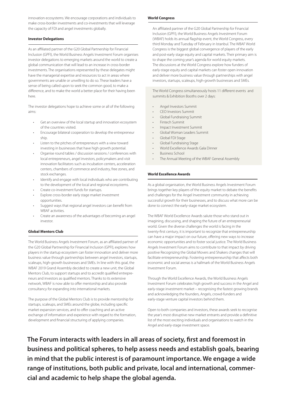innovation ecosystems. We encourage corporations and individuals to make cross-border investments and co-investments that will leverage the capacity of FDI and angel investments globally.

# **Investor Delegations**

As an affiliated partner of the G20 Global Partnership for Financial Inclusion (GPFI), the World Business Angels Investment Forum organises investor delegations to emerging markets around the world to create a global communication that will lead to an increase in cross-border investments. The organisations represented by these delegates might have the managerial expertise and resources to act in areas where governments are unable or unwilling to do so. These leaders have a sense of being called upon to seek the common good, to make a difference, and to make the world a better place for their having been here.

The investor delegations hope to achieve some or all of the following aims:

- Get an overview of the local startup and innovation ecosystem of the countries visited.
- Encourage bilateral cooperation to develop the entrepreneur ship.
- Listen to the pitches of entrepreneurs with a view toward investing in businesses that have high growth potential.
- Organise round tables / discussion sessions / conferences with local entrepreneurs, angel investors, policymakers and visit innovation facilitators such as incubation centers, acceleration centers, chambers of commerce and industry, free zones, and stock exchanges.
- Identify and engage with local individuals who are contributing to the development of the local and regional ecosystems.
- Create co-investment funds for startups.
- Explore cross-border early stage market investment opportunities.
- Suggest ways that regional angel investors can benefit from WBAF activities.
- Create an awareness of the advantages of becoming an angel investor.

# **Global Mentors Club**

The World Business Angels Investment Forum, as an affiliated partner of the G20 Global Partnership for Financial Inclusion (GPFI), explores how players in the startup ecosystem can foster innovation and deliver more business value through partnerships between angel investors, startups, scaleups, high-growth businesses and SMEs. In line with this goal, the WBAF 2019 Grand Assembly decided to create a new unit, the Global Mentors Club, to support startups and to accredit qualified entrepreneurs and investors as qualified mentors. Thanks to its extensive network, WBAF is now able to offer mentorship and also provide consultancy for expanding into international markets.

The purpose of the Global Mentors Club is to provide mentorship for startups, scaleups, and SMEs around the globe, including specific market expansion services, and to offer coaching and an active exchange of information and experience with regard to the formation, development and financial structuring of applying companies.

# **World Congress**

An affiliated partner of the G20 Global Partnership for Financial Inclusion (GPFI), the World Business Angels Investment Forum (WBAF) holds its annual flagship event, the World Congress, every third Monday and Tuesday of February in Istanbul. The WBAF World Congress is the biggest global convergence of players of the early and post-early stage equity and capital markets. Their primary aim is to shape the coming year's agenda for world equity markets. The discussions at the World Congress explore how funders of early-stage equity and capital markets can foster open innovation and deliver more business value through partnerships with angel investors, startups, scaleups, high-growth businesses and SMEs.

The World Congress simultaneously hosts 11 different events and summits & Exhibition Booths over 2 days:

- Angel Investors Summit
- CEO Investors Summit
- Global Fundraising Summit
- Fintech Summit
- Impact Investment Summit
- Global Woman Leaders Summit
- Global FDI Stage
- Global Fundraising Stage
- World Excellence Awards Gala Dinner
- Business School
- The Annual Meeting of the WBAF General Assembly

#### **World Excellence Awards**

As a global organisation, the World Business Angels Investment Forum brings together key players of the equity market to debate the benefits and challenges for the Angel Investment community in achieving successful growth for their businesses, and to discuss what more can be done to connect the early-stage market ecosystem.

The WBAF World Excellence Awards salute those who stand out in imagining, discussing, and shaping the future of an entrepreneurial world. Given the diverse challenges the world is facing in the twenty-first century, it is important to recognize that entrepreneurship can have a major impact on our future, offering new ways to increase economic opportunities and to foster social justice. The World Business Angels Investment Forum aims to contribute to that impact by driving positive Recognizing the Global Movers and Shakers changes that will facilitate entrepreneurship. Fostering entrepreneurship that affects both economic and social arenas is a hallmark of the World Business Angels Investment Forum.

Through the World Excellence Awards, the World Business Angels Investment Forum celebrates high growth and success in the Angel and early-stage investment market – recognising the fastest growing brands and acknowledging the founders, Angels, crowd-funders and early-stage venture capital investors behind them.

Open to both companies and investors, these awards seek to recognise the year's most disruptive new market entrants and provide a definitive list of the most exciting individuals and organisations to watch in the Angel and early-stage investment space.

**The Forum interacts with leaders in all areas of society, first and foremost in business and political spheres, to help assess needs and establish goals, bearing in mind that the public interest is of paramount importance. We engage a wide range of institutions, both public and private, local and international, commercial and academic to help shape the global agenda.**